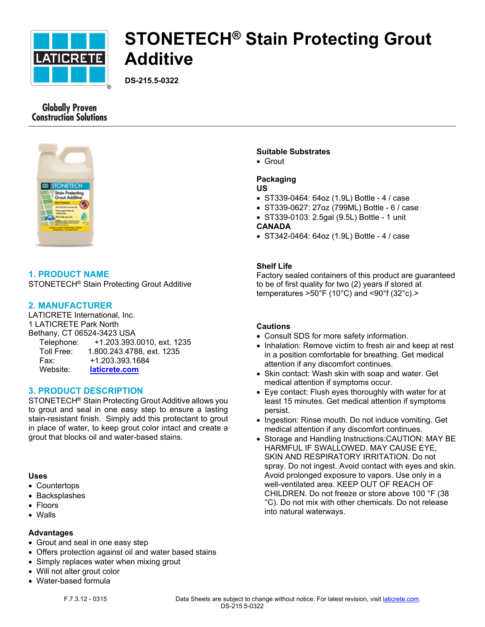

# **STONETECH® Stain Protecting Grout Additive**

**DS-215.5-0322**

# **Globally Proven Construction Solutions**



# **1. PRODUCT NAME**

STONETECH® Stain Protecting Grout Additive

# **2. MANUFACTURER**

LATICRETE International, Inc. 1 LATICRETE Park North Bethany, CT 06524-3423 USA Telephone: +1.203.393.0010, ext. 1235 Toll Free: 1.800.243.4788, ext. 1235 Fax: +1.203.393.1684 Website: **[laticrete.com](https://laticrete.com/)**

## **3. PRODUCT DESCRIPTION**

STONETECH® Stain Protecting Grout Additive allows you to grout and seal in one easy step to ensure a lasting stain-resistant finish. Simply add this protectant to grout in place of water, to keep grout color intact and create a grout that blocks oil and water-based stains.

#### **Uses**

- Countertops
- Backsplashes
- Floors
- Walls

#### **Advantages**

- Grout and seal in one easy step
- Offers protection against oil and water based stains
- Simply replaces water when mixing grout
- Will not alter grout color
- Water-based formula

# **Suitable Substrates**

• Grout

## **Packaging**

#### **US**

- ST339-0464: 64oz (1.9L) Bottle 4 / case
- ST339-0627: 27oz (799ML) Bottle 6 / case
- ST339-0103: 2.5gal (9.5L) Bottle 1 unit

## **CANADA**

• ST342-0464: 64oz (1.9L) Bottle - 4 / case

# **Shelf Life**

Factory sealed containers of this product are guaranteed to be of first quality for two (2) years if stored at temperatures  $>50^{\circ}$ F (10°C) and <90°f (32°c).>

## **Cautions**

- Consult SDS for more safety information.
- Inhalation: Remove victim to fresh air and keep at rest in a position comfortable for breathing. Get medical attention if any discomfort continues.
- Skin contact: Wash skin with soap and water. Get medical attention if symptoms occur.
- Eye contact: Flush eyes thoroughly with water for at least 15 minutes. Get medical attention if symptoms persist.
- Ingestion: Rinse mouth. Do not induce vomiting. Get medical attention if any discomfort continues.
- Storage and Handling Instructions:CAUTION: MAY BE HARMFUL IF SWALLOWED. MAY CAUSE EYE, SKIN AND RESPIRATORY IRRITATION. Do not spray. Do not ingest. Avoid contact with eyes and skin. Avoid prolonged exposure to vapors. Use only in a well-ventilated area. KEEP OUT OF REACH OF CHILDREN. Do not freeze or store above 100 °F (38 °C). Do not mix with other chemicals. Do not release into natural waterways.